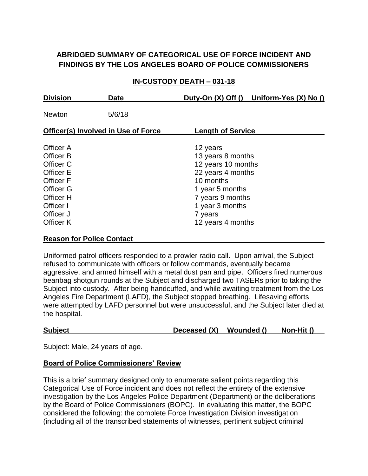# **ABRIDGED SUMMARY OF CATEGORICAL USE OF FORCE INCIDENT AND FINDINGS BY THE LOS ANGELES BOARD OF POLICE COMMISSIONERS**

### **IN-CUSTODY DEATH – 031-18**

| <b>Division</b>                                                                                                                | Date   |                                                                                                                                                                                 | Duty-On (X) Off () Uniform-Yes (X) No () |
|--------------------------------------------------------------------------------------------------------------------------------|--------|---------------------------------------------------------------------------------------------------------------------------------------------------------------------------------|------------------------------------------|
| <b>Newton</b>                                                                                                                  | 5/6/18 |                                                                                                                                                                                 |                                          |
| <b>Officer(s) Involved in Use of Force</b>                                                                                     |        | <b>Length of Service</b>                                                                                                                                                        |                                          |
| Officer A<br>Officer B<br>Officer C<br>Officer E<br>Officer F<br>Officer G<br>Officer H<br>Officer I<br>Officer J<br>Officer K |        | 12 years<br>13 years 8 months<br>12 years 10 months<br>22 years 4 months<br>10 months<br>1 year 5 months<br>7 years 9 months<br>1 year 3 months<br>7 years<br>12 years 4 months |                                          |

#### **Reason for Police Contact**

Uniformed patrol officers responded to a prowler radio call. Upon arrival, the Subject refused to communicate with officers or follow commands, eventually became aggressive, and armed himself with a metal dust pan and pipe. Officers fired numerous beanbag shotgun rounds at the Subject and discharged two TASERs prior to taking the Subject into custody. After being handcuffed, and while awaiting treatment from the Los Angeles Fire Department (LAFD), the Subject stopped breathing. Lifesaving efforts were attempted by LAFD personnel but were unsuccessful, and the Subject later died at the hospital.

#### **Subject Deceased (X) Wounded () Non-Hit ()**

Subject: Male, 24 years of age.

#### **Board of Police Commissioners' Review**

This is a brief summary designed only to enumerate salient points regarding this Categorical Use of Force incident and does not reflect the entirety of the extensive investigation by the Los Angeles Police Department (Department) or the deliberations by the Board of Police Commissioners (BOPC). In evaluating this matter, the BOPC considered the following: the complete Force Investigation Division investigation (including all of the transcribed statements of witnesses, pertinent subject criminal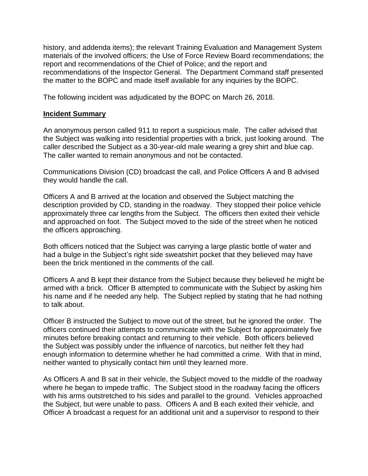history, and addenda items); the relevant Training Evaluation and Management System materials of the involved officers; the Use of Force Review Board recommendations; the report and recommendations of the Chief of Police; and the report and recommendations of the Inspector General. The Department Command staff presented the matter to the BOPC and made itself available for any inquiries by the BOPC.

The following incident was adjudicated by the BOPC on March 26, 2018.

#### **Incident Summary**

An anonymous person called 911 to report a suspicious male. The caller advised that the Subject was walking into residential properties with a brick, just looking around. The caller described the Subject as a 30-year-old male wearing a grey shirt and blue cap. The caller wanted to remain anonymous and not be contacted.

Communications Division (CD) broadcast the call, and Police Officers A and B advised they would handle the call.

Officers A and B arrived at the location and observed the Subject matching the description provided by CD, standing in the roadway. They stopped their police vehicle approximately three car lengths from the Subject. The officers then exited their vehicle and approached on foot. The Subject moved to the side of the street when he noticed the officers approaching.

Both officers noticed that the Subject was carrying a large plastic bottle of water and had a bulge in the Subject's right side sweatshirt pocket that they believed may have been the brick mentioned in the comments of the call.

Officers A and B kept their distance from the Subject because they believed he might be armed with a brick. Officer B attempted to communicate with the Subject by asking him his name and if he needed any help. The Subject replied by stating that he had nothing to talk about.

Officer B instructed the Subject to move out of the street, but he ignored the order. The officers continued their attempts to communicate with the Subject for approximately five minutes before breaking contact and returning to their vehicle. Both officers believed the Subject was possibly under the influence of narcotics, but neither felt they had enough information to determine whether he had committed a crime. With that in mind, neither wanted to physically contact him until they learned more.

As Officers A and B sat in their vehicle, the Subject moved to the middle of the roadway where he began to impede traffic. The Subject stood in the roadway facing the officers with his arms outstretched to his sides and parallel to the ground. Vehicles approached the Subject, but were unable to pass. Officers A and B each exited their vehicle, and Officer A broadcast a request for an additional unit and a supervisor to respond to their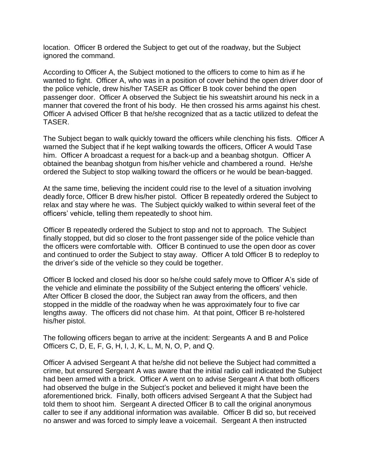location. Officer B ordered the Subject to get out of the roadway, but the Subject ignored the command.

According to Officer A, the Subject motioned to the officers to come to him as if he wanted to fight. Officer A, who was in a position of cover behind the open driver door of the police vehicle, drew his/her TASER as Officer B took cover behind the open passenger door. Officer A observed the Subject tie his sweatshirt around his neck in a manner that covered the front of his body. He then crossed his arms against his chest. Officer A advised Officer B that he/she recognized that as a tactic utilized to defeat the TASER.

The Subject began to walk quickly toward the officers while clenching his fists. Officer A warned the Subject that if he kept walking towards the officers, Officer A would Tase him. Officer A broadcast a request for a back-up and a beanbag shotgun. Officer A obtained the beanbag shotgun from his/her vehicle and chambered a round. He/she ordered the Subject to stop walking toward the officers or he would be bean-bagged.

At the same time, believing the incident could rise to the level of a situation involving deadly force, Officer B drew his/her pistol. Officer B repeatedly ordered the Subject to relax and stay where he was. The Subject quickly walked to within several feet of the officers' vehicle, telling them repeatedly to shoot him.

Officer B repeatedly ordered the Subject to stop and not to approach. The Subject finally stopped, but did so closer to the front passenger side of the police vehicle than the officers were comfortable with. Officer B continued to use the open door as cover and continued to order the Subject to stay away. Officer A told Officer B to redeploy to the driver's side of the vehicle so they could be together.

Officer B locked and closed his door so he/she could safely move to Officer A's side of the vehicle and eliminate the possibility of the Subject entering the officers' vehicle. After Officer B closed the door, the Subject ran away from the officers, and then stopped in the middle of the roadway when he was approximately four to five car lengths away. The officers did not chase him. At that point, Officer B re-holstered his/her pistol.

The following officers began to arrive at the incident: Sergeants A and B and Police Officers C, D, E, F, G, H, I, J, K, L, M, N, O, P, and Q.

Officer A advised Sergeant A that he/she did not believe the Subject had committed a crime, but ensured Sergeant A was aware that the initial radio call indicated the Subject had been armed with a brick. Officer A went on to advise Sergeant A that both officers had observed the bulge in the Subject's pocket and believed it might have been the aforementioned brick. Finally, both officers advised Sergeant A that the Subject had told them to shoot him. Sergeant A directed Officer B to call the original anonymous caller to see if any additional information was available. Officer B did so, but received no answer and was forced to simply leave a voicemail. Sergeant A then instructed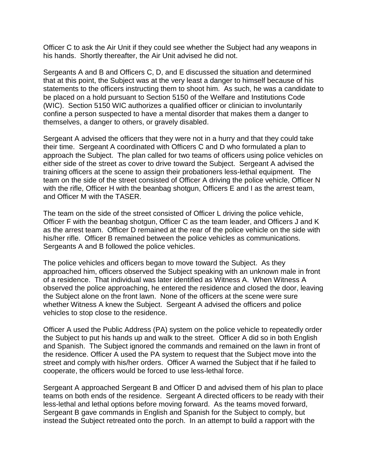Officer C to ask the Air Unit if they could see whether the Subject had any weapons in his hands. Shortly thereafter, the Air Unit advised he did not.

Sergeants A and B and Officers C, D, and E discussed the situation and determined that at this point, the Subject was at the very least a danger to himself because of his statements to the officers instructing them to shoot him. As such, he was a candidate to be placed on a hold pursuant to Section 5150 of the Welfare and Institutions Code (WIC). Section 5150 WIC authorizes a qualified officer or clinician to involuntarily confine a person suspected to have a mental disorder that makes them a danger to themselves, a danger to others, or gravely disabled.

Sergeant A advised the officers that they were not in a hurry and that they could take their time. Sergeant A coordinated with Officers C and D who formulated a plan to approach the Subject. The plan called for two teams of officers using police vehicles on either side of the street as cover to drive toward the Subject. Sergeant A advised the training officers at the scene to assign their probationers less-lethal equipment. The team on the side of the street consisted of Officer A driving the police vehicle, Officer N with the rifle, Officer H with the beanbag shotgun, Officers E and I as the arrest team, and Officer M with the TASER.

The team on the side of the street consisted of Officer L driving the police vehicle, Officer F with the beanbag shotgun, Officer C as the team leader, and Officers J and K as the arrest team. Officer D remained at the rear of the police vehicle on the side with his/her rifle. Officer B remained between the police vehicles as communications. Sergeants A and B followed the police vehicles.

The police vehicles and officers began to move toward the Subject. As they approached him, officers observed the Subject speaking with an unknown male in front of a residence. That individual was later identified as Witness A. When Witness A observed the police approaching, he entered the residence and closed the door, leaving the Subject alone on the front lawn. None of the officers at the scene were sure whether Witness A knew the Subject. Sergeant A advised the officers and police vehicles to stop close to the residence.

Officer A used the Public Address (PA) system on the police vehicle to repeatedly order the Subject to put his hands up and walk to the street. Officer A did so in both English and Spanish. The Subject ignored the commands and remained on the lawn in front of the residence. Officer A used the PA system to request that the Subject move into the street and comply with his/her orders. Officer A warned the Subject that if he failed to cooperate, the officers would be forced to use less-lethal force.

Sergeant A approached Sergeant B and Officer D and advised them of his plan to place teams on both ends of the residence. Sergeant A directed officers to be ready with their less-lethal and lethal options before moving forward. As the teams moved forward, Sergeant B gave commands in English and Spanish for the Subject to comply, but instead the Subject retreated onto the porch. In an attempt to build a rapport with the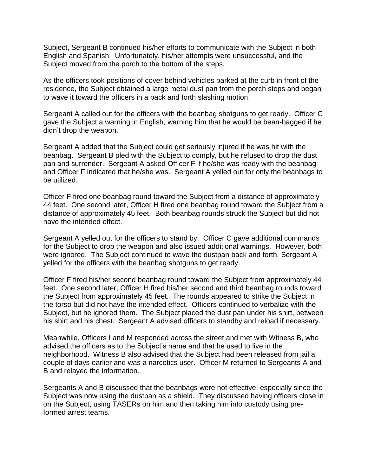Subject, Sergeant B continued his/her efforts to communicate with the Subject in both English and Spanish. Unfortunately, his/her attempts were unsuccessful, and the Subject moved from the porch to the bottom of the steps.

As the officers took positions of cover behind vehicles parked at the curb in front of the residence, the Subject obtained a large metal dust pan from the porch steps and began to wave it toward the officers in a back and forth slashing motion.

Sergeant A called out for the officers with the beanbag shotguns to get ready. Officer C gave the Subject a warning in English, warning him that he would be bean-bagged if he didn't drop the weapon.

Sergeant A added that the Subject could get seriously injured if he was hit with the beanbag. Sergeant B pled with the Subject to comply, but he refused to drop the dust pan and surrender. Sergeant A asked Officer F if he/she was ready with the beanbag and Officer F indicated that he/she was. Sergeant A yelled out for only the beanbags to be utilized.

Officer F fired one beanbag round toward the Subject from a distance of approximately 44 feet. One second later, Officer H fired one beanbag round toward the Subject from a distance of approximately 45 feet. Both beanbag rounds struck the Subject but did not have the intended effect.

Sergeant A yelled out for the officers to stand by. Officer C gave additional commands for the Subject to drop the weapon and also issued additional warnings. However, both were ignored. The Subject continued to wave the dustpan back and forth. Sergeant A yelled for the officers with the beanbag shotguns to get ready.

Officer F fired his/her second beanbag round toward the Subject from approximately 44 feet. One second later, Officer H fired his/her second and third beanbag rounds toward the Subject from approximately 45 feet. The rounds appeared to strike the Subject in the torso but did not have the intended effect. Officers continued to verbalize with the Subject, but he ignored them. The Subject placed the dust pan under his shirt, between his shirt and his chest. Sergeant A advised officers to standby and reload if necessary.

Meanwhile, Officers I and M responded across the street and met with Witness B, who advised the officers as to the Subject's name and that he used to live in the neighborhood. Witness B also advised that the Subject had been released from jail a couple of days earlier and was a narcotics user. Officer M returned to Sergeants A and B and relayed the information.

Sergeants A and B discussed that the beanbags were not effective, especially since the Subject was now using the dustpan as a shield. They discussed having officers close in on the Subject, using TASERs on him and then taking him into custody using preformed arrest teams.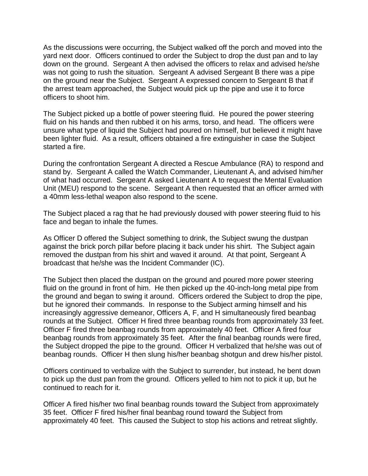As the discussions were occurring, the Subject walked off the porch and moved into the yard next door. Officers continued to order the Subject to drop the dust pan and to lay down on the ground. Sergeant A then advised the officers to relax and advised he/she was not going to rush the situation. Sergeant A advised Sergeant B there was a pipe on the ground near the Subject. Sergeant A expressed concern to Sergeant B that if the arrest team approached, the Subject would pick up the pipe and use it to force officers to shoot him.

The Subject picked up a bottle of power steering fluid. He poured the power steering fluid on his hands and then rubbed it on his arms, torso, and head. The officers were unsure what type of liquid the Subject had poured on himself, but believed it might have been lighter fluid. As a result, officers obtained a fire extinguisher in case the Subject started a fire.

During the confrontation Sergeant A directed a Rescue Ambulance (RA) to respond and stand by. Sergeant A called the Watch Commander, Lieutenant A, and advised him/her of what had occurred. Sergeant A asked Lieutenant A to request the Mental Evaluation Unit (MEU) respond to the scene. Sergeant A then requested that an officer armed with a 40mm less-lethal weapon also respond to the scene.

The Subject placed a rag that he had previously doused with power steering fluid to his face and began to inhale the fumes.

As Officer D offered the Subject something to drink, the Subject swung the dustpan against the brick porch pillar before placing it back under his shirt. The Subject again removed the dustpan from his shirt and waved it around. At that point, Sergeant A broadcast that he/she was the Incident Commander (IC).

The Subject then placed the dustpan on the ground and poured more power steering fluid on the ground in front of him. He then picked up the 40-inch-long metal pipe from the ground and began to swing it around. Officers ordered the Subject to drop the pipe, but he ignored their commands. In response to the Subject arming himself and his increasingly aggressive demeanor, Officers A, F, and H simultaneously fired beanbag rounds at the Subject. Officer H fired three beanbag rounds from approximately 33 feet. Officer F fired three beanbag rounds from approximately 40 feet. Officer A fired four beanbag rounds from approximately 35 feet. After the final beanbag rounds were fired, the Subject dropped the pipe to the ground. Officer H verbalized that he/she was out of beanbag rounds. Officer H then slung his/her beanbag shotgun and drew his/her pistol.

Officers continued to verbalize with the Subject to surrender, but instead, he bent down to pick up the dust pan from the ground. Officers yelled to him not to pick it up, but he continued to reach for it.

Officer A fired his/her two final beanbag rounds toward the Subject from approximately 35 feet. Officer F fired his/her final beanbag round toward the Subject from approximately 40 feet. This caused the Subject to stop his actions and retreat slightly.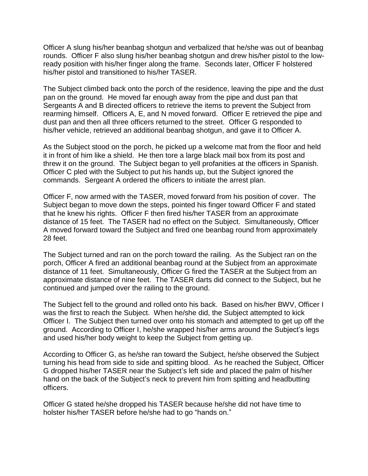Officer A slung his/her beanbag shotgun and verbalized that he/she was out of beanbag rounds. Officer F also slung his/her beanbag shotgun and drew his/her pistol to the lowready position with his/her finger along the frame. Seconds later, Officer F holstered his/her pistol and transitioned to his/her TASER.

The Subject climbed back onto the porch of the residence, leaving the pipe and the dust pan on the ground. He moved far enough away from the pipe and dust pan that Sergeants A and B directed officers to retrieve the items to prevent the Subject from rearming himself. Officers A, E, and N moved forward. Officer E retrieved the pipe and dust pan and then all three officers returned to the street. Officer G responded to his/her vehicle, retrieved an additional beanbag shotgun, and gave it to Officer A.

As the Subject stood on the porch, he picked up a welcome mat from the floor and held it in front of him like a shield. He then tore a large black mail box from its post and threw it on the ground. The Subject began to yell profanities at the officers in Spanish. Officer C pled with the Subject to put his hands up, but the Subject ignored the commands. Sergeant A ordered the officers to initiate the arrest plan.

Officer F, now armed with the TASER, moved forward from his position of cover. The Subject began to move down the steps, pointed his finger toward Officer F and stated that he knew his rights.Officer F then fired his/her TASER from an approximate distance of 15 feet. The TASER had no effect on the Subject. Simultaneously, Officer A moved forward toward the Subject and fired one beanbag round from approximately 28 feet.

The Subject turned and ran on the porch toward the railing. As the Subject ran on the porch, Officer A fired an additional beanbag round at the Subject from an approximate distance of 11 feet. Simultaneously, Officer G fired the TASER at the Subject from an approximate distance of nine feet. The TASER darts did connect to the Subject, but he continued and jumped over the railing to the ground.

The Subject fell to the ground and rolled onto his back. Based on his/her BWV, Officer I was the first to reach the Subject. When he/she did, the Subject attempted to kick Officer I. The Subject then turned over onto his stomach and attempted to get up off the ground. According to Officer I, he/she wrapped his/her arms around the Subject's legs and used his/her body weight to keep the Subject from getting up.

According to Officer G, as he/she ran toward the Subject, he/she observed the Subject turning his head from side to side and spitting blood. As he reached the Subject, Officer G dropped his/her TASER near the Subject's left side and placed the palm of his/her hand on the back of the Subject's neck to prevent him from spitting and headbutting officers.

Officer G stated he/she dropped his TASER because he/she did not have time to holster his/her TASER before he/she had to go "hands on."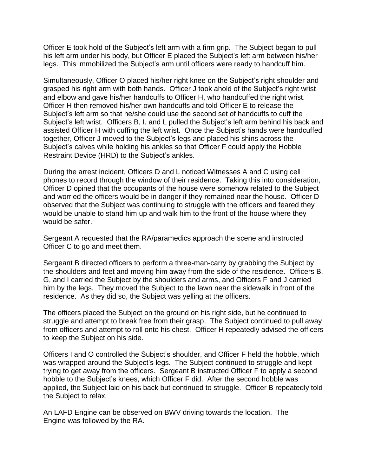Officer E took hold of the Subject's left arm with a firm grip. The Subject began to pull his left arm under his body, but Officer E placed the Subject's left arm between his/her legs. This immobilized the Subject's arm until officers were ready to handcuff him.

Simultaneously, Officer O placed his/her right knee on the Subject's right shoulder and grasped his right arm with both hands. Officer J took ahold of the Subject's right wrist and elbow and gave his/her handcuffs to Officer H, who handcuffed the right wrist. Officer H then removed his/her own handcuffs and told Officer E to release the Subject's left arm so that he/she could use the second set of handcuffs to cuff the Subject's left wrist. Officers B, I, and L pulled the Subject's left arm behind his back and assisted Officer H with cuffing the left wrist. Once the Subject's hands were handcuffed together, Officer J moved to the Subject's legs and placed his shins across the Subject's calves while holding his ankles so that Officer F could apply the Hobble Restraint Device (HRD) to the Subject's ankles.

During the arrest incident, Officers D and L noticed Witnesses A and C using cell phones to record through the window of their residence. Taking this into consideration, Officer D opined that the occupants of the house were somehow related to the Subject and worried the officers would be in danger if they remained near the house. Officer D observed that the Subject was continuing to struggle with the officers and feared they would be unable to stand him up and walk him to the front of the house where they would be safer.

Sergeant A requested that the RA/paramedics approach the scene and instructed Officer C to go and meet them.

Sergeant B directed officers to perform a three-man-carry by grabbing the Subject by the shoulders and feet and moving him away from the side of the residence. Officers B, G, and I carried the Subject by the shoulders and arms, and Officers F and J carried him by the legs. They moved the Subject to the lawn near the sidewalk in front of the residence. As they did so, the Subject was yelling at the officers.

The officers placed the Subject on the ground on his right side, but he continued to struggle and attempt to break free from their grasp. The Subject continued to pull away from officers and attempt to roll onto his chest. Officer H repeatedly advised the officers to keep the Subject on his side.

Officers I and O controlled the Subject's shoulder, and Officer F held the hobble, which was wrapped around the Subject's legs. The Subject continued to struggle and kept trying to get away from the officers. Sergeant B instructed Officer F to apply a second hobble to the Subject's knees, which Officer F did. After the second hobble was applied, the Subject laid on his back but continued to struggle. Officer B repeatedly told the Subject to relax.

An LAFD Engine can be observed on BWV driving towards the location. The Engine was followed by the RA.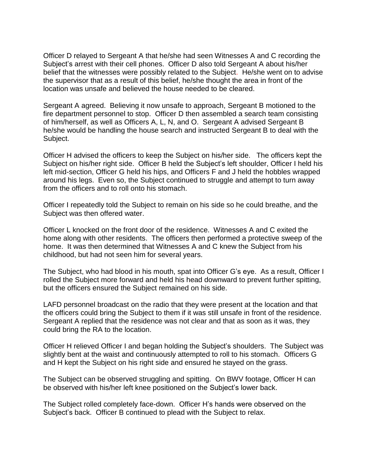Officer D relayed to Sergeant A that he/she had seen Witnesses A and C recording the Subject's arrest with their cell phones. Officer D also told Sergeant A about his/her belief that the witnesses were possibly related to the Subject. He/she went on to advise the supervisor that as a result of this belief, he/she thought the area in front of the location was unsafe and believed the house needed to be cleared.

Sergeant A agreed. Believing it now unsafe to approach, Sergeant B motioned to the fire department personnel to stop. Officer D then assembled a search team consisting of him/herself, as well as Officers A, L, N, and O. Sergeant A advised Sergeant B he/she would be handling the house search and instructed Sergeant B to deal with the Subject.

Officer H advised the officers to keep the Subject on his/her side. The officers kept the Subject on his/her right side. Officer B held the Subject's left shoulder, Officer I held his left mid-section, Officer G held his hips, and Officers F and J held the hobbles wrapped around his legs. Even so, the Subject continued to struggle and attempt to turn away from the officers and to roll onto his stomach.

Officer I repeatedly told the Subject to remain on his side so he could breathe, and the Subject was then offered water.

Officer L knocked on the front door of the residence. Witnesses A and C exited the home along with other residents. The officers then performed a protective sweep of the home. It was then determined that Witnesses A and C knew the Subject from his childhood, but had not seen him for several years.

The Subject, who had blood in his mouth, spat into Officer G's eye. As a result, Officer I rolled the Subject more forward and held his head downward to prevent further spitting, but the officers ensured the Subject remained on his side.

LAFD personnel broadcast on the radio that they were present at the location and that the officers could bring the Subject to them if it was still unsafe in front of the residence. Sergeant A replied that the residence was not clear and that as soon as it was, they could bring the RA to the location.

Officer H relieved Officer I and began holding the Subject's shoulders. The Subject was slightly bent at the waist and continuously attempted to roll to his stomach. Officers G and H kept the Subject on his right side and ensured he stayed on the grass.

The Subject can be observed struggling and spitting. On BWV footage, Officer H can be observed with his/her left knee positioned on the Subject's lower back.

The Subject rolled completely face-down. Officer H's hands were observed on the Subject's back. Officer B continued to plead with the Subject to relax.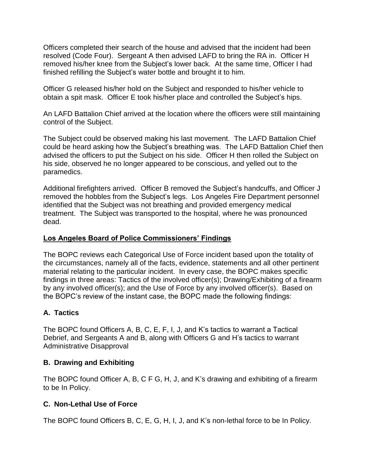Officers completed their search of the house and advised that the incident had been resolved (Code Four). Sergeant A then advised LAFD to bring the RA in. Officer H removed his/her knee from the Subject's lower back. At the same time, Officer I had finished refilling the Subject's water bottle and brought it to him.

Officer G released his/her hold on the Subject and responded to his/her vehicle to obtain a spit mask. Officer E took his/her place and controlled the Subject's hips.

An LAFD Battalion Chief arrived at the location where the officers were still maintaining control of the Subject.

The Subject could be observed making his last movement. The LAFD Battalion Chief could be heard asking how the Subject's breathing was. The LAFD Battalion Chief then advised the officers to put the Subject on his side. Officer H then rolled the Subject on his side, observed he no longer appeared to be conscious, and yelled out to the paramedics.

Additional firefighters arrived. Officer B removed the Subject's handcuffs, and Officer J removed the hobbles from the Subject's legs. Los Angeles Fire Department personnel identified that the Subject was not breathing and provided emergency medical treatment. The Subject was transported to the hospital, where he was pronounced dead.

# **Los Angeles Board of Police Commissioners' Findings**

The BOPC reviews each Categorical Use of Force incident based upon the totality of the circumstances, namely all of the facts, evidence, statements and all other pertinent material relating to the particular incident. In every case, the BOPC makes specific findings in three areas: Tactics of the involved officer(s); Drawing/Exhibiting of a firearm by any involved officer(s); and the Use of Force by any involved officer(s). Based on the BOPC's review of the instant case, the BOPC made the following findings:

# **A. Tactics**

The BOPC found Officers A, B, C, E, F, I, J, and K's tactics to warrant a Tactical Debrief, and Sergeants A and B, along with Officers G and H's tactics to warrant Administrative Disapproval

# **B. Drawing and Exhibiting**

The BOPC found Officer A, B, C F G, H, J, and K's drawing and exhibiting of a firearm to be In Policy.

# **C. Non-Lethal Use of Force**

The BOPC found Officers B, C, E, G, H, I, J, and K's non-lethal force to be In Policy.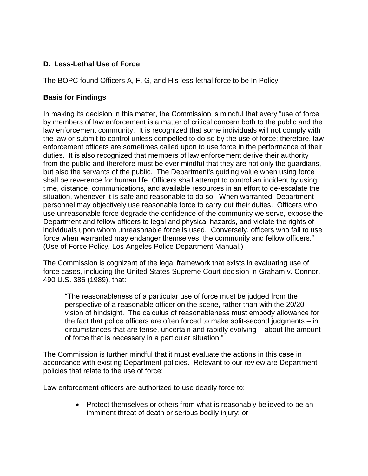# **D. Less-Lethal Use of Force**

The BOPC found Officers A, F, G, and H's less-lethal force to be In Policy.

# **Basis for Findings**

In making its decision in this matter, the Commission is mindful that every "use of force by members of law enforcement is a matter of critical concern both to the public and the law enforcement community. It is recognized that some individuals will not comply with the law or submit to control unless compelled to do so by the use of force; therefore, law enforcement officers are sometimes called upon to use force in the performance of their duties. It is also recognized that members of law enforcement derive their authority from the public and therefore must be ever mindful that they are not only the guardians, but also the servants of the public. The Department's guiding value when using force shall be reverence for human life. Officers shall attempt to control an incident by using time, distance, communications, and available resources in an effort to de-escalate the situation, whenever it is safe and reasonable to do so. When warranted, Department personnel may objectively use reasonable force to carry out their duties. Officers who use unreasonable force degrade the confidence of the community we serve, expose the Department and fellow officers to legal and physical hazards, and violate the rights of individuals upon whom unreasonable force is used. Conversely, officers who fail to use force when warranted may endanger themselves, the community and fellow officers." (Use of Force Policy, Los Angeles Police Department Manual.)

The Commission is cognizant of the legal framework that exists in evaluating use of force cases, including the United States Supreme Court decision in Graham v. Connor, 490 U.S. 386 (1989), that:

"The reasonableness of a particular use of force must be judged from the perspective of a reasonable officer on the scene, rather than with the 20/20 vision of hindsight. The calculus of reasonableness must embody allowance for the fact that police officers are often forced to make split-second judgments – in circumstances that are tense, uncertain and rapidly evolving – about the amount of force that is necessary in a particular situation."

The Commission is further mindful that it must evaluate the actions in this case in accordance with existing Department policies. Relevant to our review are Department policies that relate to the use of force:

Law enforcement officers are authorized to use deadly force to:

• Protect themselves or others from what is reasonably believed to be an imminent threat of death or serious bodily injury; or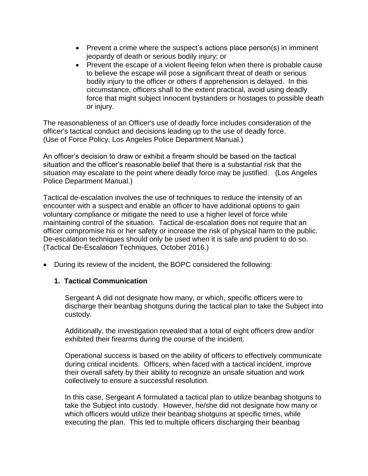- Prevent a crime where the suspect's actions place person(s) in imminent jeopardy of death or serious bodily injury; or
- Prevent the escape of a violent fleeing felon when there is probable cause to believe the escape will pose a significant threat of death or serious bodily injury to the officer or others if apprehension is delayed. In this circumstance, officers shall to the extent practical, avoid using deadly force that might subject innocent bystanders or hostages to possible death or injury.

The reasonableness of an Officer's use of deadly force includes consideration of the officer's tactical conduct and decisions leading up to the use of deadly force. (Use of Force Policy, Los Angeles Police Department Manual.)

An officer's decision to draw or exhibit a firearm should be based on the tactical situation and the officer's reasonable belief that there is a substantial risk that the situation may escalate to the point where deadly force may be justified. (Los Angeles Police Department Manual.)

Tactical de-escalation involves the use of techniques to reduce the intensity of an encounter with a suspect and enable an officer to have additional options to gain voluntary compliance or mitigate the need to use a higher level of force while maintaining control of the situation. Tactical de-escalation does not require that an officer compromise his or her safety or increase the risk of physical harm to the public. De-escalation techniques should only be used when it is safe and prudent to do so. (Tactical De-Escalation Techniques, October 2016.)

• During its review of the incident, the BOPC considered the following:

# **1. Tactical Communication**

Sergeant A did not designate how many, or which, specific officers were to discharge their beanbag shotguns during the tactical plan to take the Subject into custody.

Additionally, the investigation revealed that a total of eight officers drew and/or exhibited their firearms during the course of the incident.

Operational success is based on the ability of officers to effectively communicate during critical incidents. Officers, when faced with a tactical incident, improve their overall safety by their ability to recognize an unsafe situation and work collectively to ensure a successful resolution.

In this case, Sergeant A formulated a tactical plan to utilize beanbag shotguns to take the Subject into custody. However, he/she did not designate how many or which officers would utilize their beanbag shotguns at specific times, while executing the plan. This led to multiple officers discharging their beanbag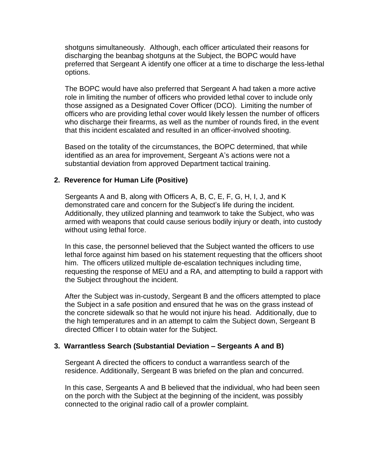shotguns simultaneously. Although, each officer articulated their reasons for discharging the beanbag shotguns at the Subject, the BOPC would have preferred that Sergeant A identify one officer at a time to discharge the less-lethal options.

The BOPC would have also preferred that Sergeant A had taken a more active role in limiting the number of officers who provided lethal cover to include only those assigned as a Designated Cover Officer (DCO). Limiting the number of officers who are providing lethal cover would likely lessen the number of officers who discharge their firearms, as well as the number of rounds fired, in the event that this incident escalated and resulted in an officer-involved shooting.

Based on the totality of the circumstances, the BOPC determined, that while identified as an area for improvement, Sergeant A's actions were not a substantial deviation from approved Department tactical training.

#### **2. Reverence for Human Life (Positive)**

Sergeants A and B, along with Officers A, B, C, E, F, G, H, I, J, and K demonstrated care and concern for the Subject's life during the incident. Additionally, they utilized planning and teamwork to take the Subject, who was armed with weapons that could cause serious bodily injury or death, into custody without using lethal force.

In this case, the personnel believed that the Subject wanted the officers to use lethal force against him based on his statement requesting that the officers shoot him. The officers utilized multiple de-escalation techniques including time, requesting the response of MEU and a RA, and attempting to build a rapport with the Subject throughout the incident.

After the Subject was in-custody, Sergeant B and the officers attempted to place the Subject in a safe position and ensured that he was on the grass instead of the concrete sidewalk so that he would not injure his head. Additionally, due to the high temperatures and in an attempt to calm the Subject down, Sergeant B directed Officer I to obtain water for the Subject.

#### **3. Warrantless Search (Substantial Deviation – Sergeants A and B)**

Sergeant A directed the officers to conduct a warrantless search of the residence. Additionally, Sergeant B was briefed on the plan and concurred.

In this case, Sergeants A and B believed that the individual, who had been seen on the porch with the Subject at the beginning of the incident, was possibly connected to the original radio call of a prowler complaint.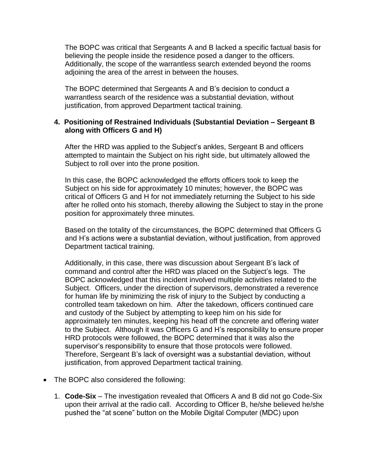The BOPC was critical that Sergeants A and B lacked a specific factual basis for believing the people inside the residence posed a danger to the officers. Additionally, the scope of the warrantless search extended beyond the rooms adjoining the area of the arrest in between the houses.

The BOPC determined that Sergeants A and B's decision to conduct a warrantless search of the residence was a substantial deviation, without justification, from approved Department tactical training.

#### **4. Positioning of Restrained Individuals (Substantial Deviation – Sergeant B along with Officers G and H)**

After the HRD was applied to the Subject's ankles, Sergeant B and officers attempted to maintain the Subject on his right side, but ultimately allowed the Subject to roll over into the prone position.

In this case, the BOPC acknowledged the efforts officers took to keep the Subject on his side for approximately 10 minutes; however, the BOPC was critical of Officers G and H for not immediately returning the Subject to his side after he rolled onto his stomach, thereby allowing the Subject to stay in the prone position for approximately three minutes.

Based on the totality of the circumstances, the BOPC determined that Officers G and H's actions were a substantial deviation, without justification, from approved Department tactical training.

Additionally, in this case, there was discussion about Sergeant B's lack of command and control after the HRD was placed on the Subject's legs. The BOPC acknowledged that this incident involved multiple activities related to the Subject. Officers, under the direction of supervisors, demonstrated a reverence for human life by minimizing the risk of injury to the Subject by conducting a controlled team takedown on him. After the takedown, officers continued care and custody of the Subject by attempting to keep him on his side for approximately ten minutes, keeping his head off the concrete and offering water to the Subject. Although it was Officers G and H's responsibility to ensure proper HRD protocols were followed, the BOPC determined that it was also the supervisor's responsibility to ensure that those protocols were followed. Therefore, Sergeant B's lack of oversight was a substantial deviation, without justification, from approved Department tactical training.

- The BOPC also considered the following:
	- 1. **Code-Six** The investigation revealed that Officers A and B did not go Code-Six upon their arrival at the radio call. According to Officer B, he/she believed he/she pushed the "at scene" button on the Mobile Digital Computer (MDC) upon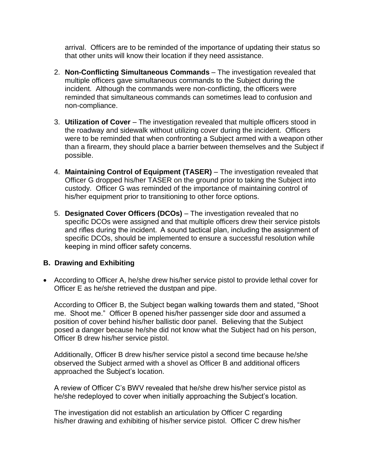arrival. Officers are to be reminded of the importance of updating their status so that other units will know their location if they need assistance.

- 2. **Non-Conflicting Simultaneous Commands** The investigation revealed that multiple officers gave simultaneous commands to the Subject during the incident. Although the commands were non-conflicting, the officers were reminded that simultaneous commands can sometimes lead to confusion and non-compliance.
- 3. **Utilization of Cover** The investigation revealed that multiple officers stood in the roadway and sidewalk without utilizing cover during the incident. Officers were to be reminded that when confronting a Subject armed with a weapon other than a firearm, they should place a barrier between themselves and the Subject if possible.
- 4. **Maintaining Control of Equipment (TASER)** The investigation revealed that Officer G dropped his/her TASER on the ground prior to taking the Subject into custody. Officer G was reminded of the importance of maintaining control of his/her equipment prior to transitioning to other force options.
- 5. **Designated Cover Officers (DCOs)** The investigation revealed that no specific DCOs were assigned and that multiple officers drew their service pistols and rifles during the incident.  A sound tactical plan, including the assignment of specific DCOs, should be implemented to ensure a successful resolution while keeping in mind officer safety concerns.

#### **B. Drawing and Exhibiting**

• According to Officer A, he/she drew his/her service pistol to provide lethal cover for Officer E as he/she retrieved the dustpan and pipe.

According to Officer B, the Subject began walking towards them and stated, "Shoot me. Shoot me." Officer B opened his/her passenger side door and assumed a position of cover behind his/her ballistic door panel. Believing that the Subject posed a danger because he/she did not know what the Subject had on his person, Officer B drew his/her service pistol.

Additionally, Officer B drew his/her service pistol a second time because he/she observed the Subject armed with a shovel as Officer B and additional officers approached the Subject's location.

A review of Officer C's BWV revealed that he/she drew his/her service pistol as he/she redeployed to cover when initially approaching the Subject's location.

The investigation did not establish an articulation by Officer C regarding his/her drawing and exhibiting of his/her service pistol. Officer C drew his/her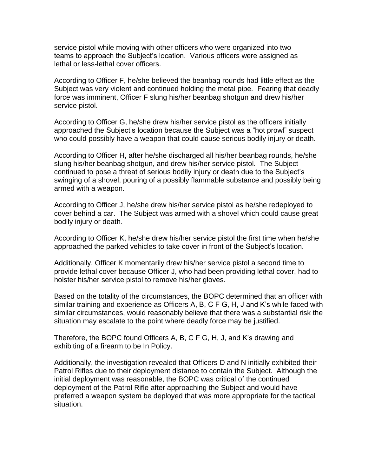service pistol while moving with other officers who were organized into two teams to approach the Subject's location. Various officers were assigned as lethal or less-lethal cover officers.

According to Officer F, he/she believed the beanbag rounds had little effect as the Subject was very violent and continued holding the metal pipe. Fearing that deadly force was imminent, Officer F slung his/her beanbag shotgun and drew his/her service pistol.

According to Officer G, he/she drew his/her service pistol as the officers initially approached the Subject's location because the Subject was a "hot prowl" suspect who could possibly have a weapon that could cause serious bodily injury or death.

According to Officer H, after he/she discharged all his/her beanbag rounds, he/she slung his/her beanbag shotgun, and drew his/her service pistol. The Subject continued to pose a threat of serious bodily injury or death due to the Subject's swinging of a shovel, pouring of a possibly flammable substance and possibly being armed with a weapon.

According to Officer J, he/she drew his/her service pistol as he/she redeployed to cover behind a car. The Subject was armed with a shovel which could cause great bodily injury or death.

According to Officer K, he/she drew his/her service pistol the first time when he/she approached the parked vehicles to take cover in front of the Subject's location.

Additionally, Officer K momentarily drew his/her service pistol a second time to provide lethal cover because Officer J, who had been providing lethal cover, had to holster his/her service pistol to remove his/her gloves.

Based on the totality of the circumstances, the BOPC determined that an officer with similar training and experience as Officers A, B, C F G, H, J and K's while faced with similar circumstances, would reasonably believe that there was a substantial risk the situation may escalate to the point where deadly force may be justified.

Therefore, the BOPC found Officers A, B, C F G, H, J, and K's drawing and exhibiting of a firearm to be In Policy.

Additionally, the investigation revealed that Officers D and N initially exhibited their Patrol Rifles due to their deployment distance to contain the Subject. Although the initial deployment was reasonable, the BOPC was critical of the continued deployment of the Patrol Rifle after approaching the Subject and would have preferred a weapon system be deployed that was more appropriate for the tactical situation.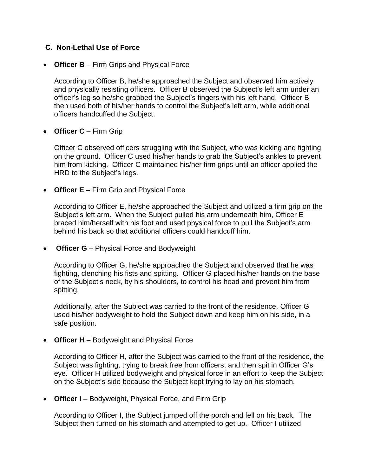## **C. Non-Lethal Use of Force**

• **Officer B** – Firm Grips and Physical Force

According to Officer B, he/she approached the Subject and observed him actively and physically resisting officers. Officer B observed the Subject's left arm under an officer's leg so he/she grabbed the Subject's fingers with his left hand. Officer B then used both of his/her hands to control the Subject's left arm, while additional officers handcuffed the Subject.

• **Officer C** – Firm Grip

Officer C observed officers struggling with the Subject, who was kicking and fighting on the ground. Officer C used his/her hands to grab the Subject's ankles to prevent him from kicking. Officer C maintained his/her firm grips until an officer applied the HRD to the Subject's legs.

• **Officer E** – Firm Grip and Physical Force

According to Officer E, he/she approached the Subject and utilized a firm grip on the Subject's left arm. When the Subject pulled his arm underneath him, Officer E braced him/herself with his foot and used physical force to pull the Subject's arm behind his back so that additional officers could handcuff him.

• **Officer G** – Physical Force and Bodyweight

According to Officer G, he/she approached the Subject and observed that he was fighting, clenching his fists and spitting. Officer G placed his/her hands on the base of the Subject's neck, by his shoulders, to control his head and prevent him from spitting.

Additionally, after the Subject was carried to the front of the residence, Officer G used his/her bodyweight to hold the Subject down and keep him on his side, in a safe position.

• **Officer H** – Bodyweight and Physical Force

According to Officer H, after the Subject was carried to the front of the residence, the Subject was fighting, trying to break free from officers, and then spit in Officer G's eye. Officer H utilized bodyweight and physical force in an effort to keep the Subject on the Subject's side because the Subject kept trying to lay on his stomach.

• **Officer I** – Bodyweight, Physical Force, and Firm Grip

According to Officer I, the Subject jumped off the porch and fell on his back. The Subject then turned on his stomach and attempted to get up. Officer I utilized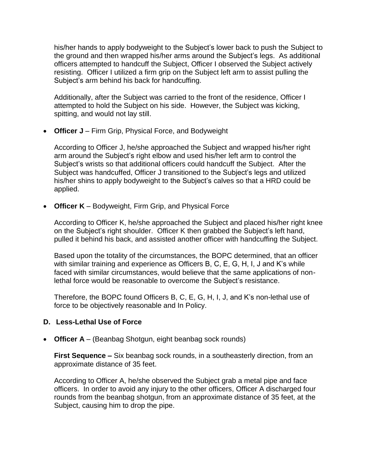his/her hands to apply bodyweight to the Subject's lower back to push the Subject to the ground and then wrapped his/her arms around the Subject's legs. As additional officers attempted to handcuff the Subject, Officer I observed the Subject actively resisting. Officer I utilized a firm grip on the Subject left arm to assist pulling the Subject's arm behind his back for handcuffing.

Additionally, after the Subject was carried to the front of the residence, Officer I attempted to hold the Subject on his side. However, the Subject was kicking, spitting, and would not lay still.

• **Officer J** – Firm Grip, Physical Force, and Bodyweight

According to Officer J, he/she approached the Subject and wrapped his/her right arm around the Subject's right elbow and used his/her left arm to control the Subject's wrists so that additional officers could handcuff the Subject. After the Subject was handcuffed, Officer J transitioned to the Subject's legs and utilized his/her shins to apply bodyweight to the Subject's calves so that a HRD could be applied.

• **Officer K** – Bodyweight, Firm Grip, and Physical Force

According to Officer K, he/she approached the Subject and placed his/her right knee on the Subject's right shoulder. Officer K then grabbed the Subject's left hand, pulled it behind his back, and assisted another officer with handcuffing the Subject.

Based upon the totality of the circumstances, the BOPC determined, that an officer with similar training and experience as Officers B, C, E, G, H, I, J and K's while faced with similar circumstances, would believe that the same applications of nonlethal force would be reasonable to overcome the Subject's resistance.

Therefore, the BOPC found Officers B, C, E, G, H, I, J, and K's non-lethal use of force to be objectively reasonable and In Policy.

# **D. Less-Lethal Use of Force**

• **Officer A** – (Beanbag Shotgun, eight beanbag sock rounds)

**First Sequence –** Six beanbag sock rounds, in a southeasterly direction, from an approximate distance of 35 feet.

According to Officer A, he/she observed the Subject grab a metal pipe and face officers. In order to avoid any injury to the other officers, Officer A discharged four rounds from the beanbag shotgun, from an approximate distance of 35 feet, at the Subject, causing him to drop the pipe.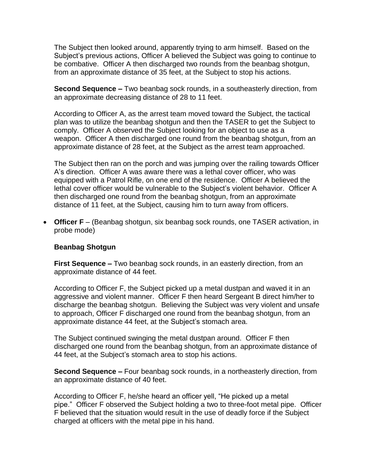The Subject then looked around, apparently trying to arm himself. Based on the Subject's previous actions, Officer A believed the Subject was going to continue to be combative. Officer A then discharged two rounds from the beanbag shotgun, from an approximate distance of 35 feet, at the Subject to stop his actions.

**Second Sequence –** Two beanbag sock rounds, in a southeasterly direction, from an approximate decreasing distance of 28 to 11 feet.

According to Officer A, as the arrest team moved toward the Subject, the tactical plan was to utilize the beanbag shotgun and then the TASER to get the Subject to comply. Officer A observed the Subject looking for an object to use as a weapon. Officer A then discharged one round from the beanbag shotgun, from an approximate distance of 28 feet, at the Subject as the arrest team approached.

The Subject then ran on the porch and was jumping over the railing towards Officer A's direction. Officer A was aware there was a lethal cover officer, who was equipped with a Patrol Rifle, on one end of the residence. Officer A believed the lethal cover officer would be vulnerable to the Subject's violent behavior. Officer A then discharged one round from the beanbag shotgun, from an approximate distance of 11 feet, at the Subject, causing him to turn away from officers.

• **Officer F** – (Beanbag shotgun, six beanbag sock rounds, one TASER activation, in probe mode)

#### **Beanbag Shotgun**

**First Sequence –** Two beanbag sock rounds, in an easterly direction, from an approximate distance of 44 feet.

According to Officer F, the Subject picked up a metal dustpan and waved it in an aggressive and violent manner. Officer F then heard Sergeant B direct him/her to discharge the beanbag shotgun. Believing the Subject was very violent and unsafe to approach, Officer F discharged one round from the beanbag shotgun, from an approximate distance 44 feet, at the Subject's stomach area.

The Subject continued swinging the metal dustpan around. Officer F then discharged one round from the beanbag shotgun, from an approximate distance of 44 feet, at the Subject's stomach area to stop his actions.

**Second Sequence –** Four beanbag sock rounds, in a northeasterly direction, from an approximate distance of 40 feet.

According to Officer F, he/she heard an officer yell, "He picked up a metal pipe." Officer F observed the Subject holding a two to three-foot metal pipe. Officer F believed that the situation would result in the use of deadly force if the Subject charged at officers with the metal pipe in his hand.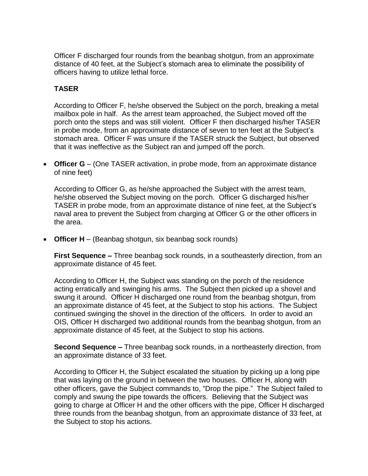Officer F discharged four rounds from the beanbag shotgun, from an approximate distance of 40 feet, at the Subject's stomach area to eliminate the possibility of officers having to utilize lethal force.

# **TASER**

According to Officer F, he/she observed the Subject on the porch, breaking a metal mailbox pole in half. As the arrest team approached, the Subject moved off the porch onto the steps and was still violent. Officer F then discharged his/her TASER in probe mode, from an approximate distance of seven to ten feet at the Subject's stomach area. Officer F was unsure if the TASER struck the Subject, but observed that it was ineffective as the Subject ran and jumped off the porch.

• **Officer G** – (One TASER activation, in probe mode, from an approximate distance of nine feet)

According to Officer G, as he/she approached the Subject with the arrest team, he/she observed the Subject moving on the porch. Officer G discharged his/her TASER in probe mode, from an approximate distance of nine feet, at the Subject's naval area to prevent the Subject from charging at Officer G or the other officers in the area.

• **Officer H** – (Beanbag shotgun, six beanbag sock rounds)

**First Sequence –** Three beanbag sock rounds, in a southeasterly direction, from an approximate distance of 45 feet.

According to Officer H, the Subject was standing on the porch of the residence acting erratically and swinging his arms. The Subject then picked up a shovel and swung it around. Officer H discharged one round from the beanbag shotgun, from an approximate distance of 45 feet, at the Subject to stop his actions. The Subject continued swinging the shovel in the direction of the officers. In order to avoid an OIS, Officer H discharged two additional rounds from the beanbag shotgun, from an approximate distance of 45 feet, at the Subject to stop his actions.

**Second Sequence –** Three beanbag sock rounds, in a northeasterly direction, from an approximate distance of 33 feet.

According to Officer H, the Subject escalated the situation by picking up a long pipe that was laying on the ground in between the two houses. Officer H, along with other officers, gave the Subject commands to, "Drop the pipe." The Subject failed to comply and swung the pipe towards the officers. Believing that the Subject was going to charge at Officer H and the other officers with the pipe, Officer H discharged three rounds from the beanbag shotgun, from an approximate distance of 33 feet, at the Subject to stop his actions.